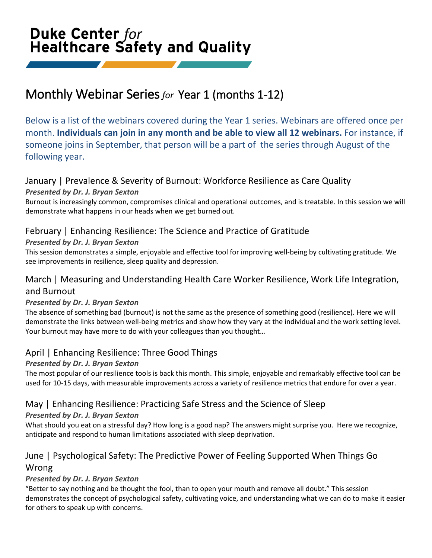# Duke Center for **Healthcare Safety and Quality**

# Monthly Webinar Series *for* Year 1 (months 1-12)

Below is a list of the webinars covered during the Year 1 series. Webinars are offered once per month. **Individuals can join in any month and be able to view all 12 webinars.** For instance, if someone joins in September, that person will be a part of the series through August of the following year.

# January | Prevalence & Severity of Burnout: Workforce Resilience as Care Quality

#### *Presented by Dr. J. Bryan Sexton*

Burnout is increasingly common, compromises clinical and operational outcomes, and is treatable. In this session we will demonstrate what happens in our heads when we get burned out.

## February | Enhancing Resilience: The Science and Practice of Gratitude

### *Presented by Dr. J. Bryan Sexton*

This session demonstrates a simple, enjoyable and effective tool for improving well-being by cultivating gratitude. We see improvements in resilience, sleep quality and depression.

# March | Measuring and Understanding Health Care Worker Resilience, Work Life Integration, and Burnout

#### *Presented by Dr. J. Bryan Sexton*

The absence of something bad (burnout) is not the same as the presence of something good (resilience). Here we will demonstrate the links between well-being metrics and show how they vary at the individual and the work setting level. Your burnout may have more to do with your colleagues than you thought…

## April | Enhancing Resilience: Three Good Things

## *Presented by Dr. J. Bryan Sexton*

The most popular of our resilience tools is back this month. This simple, enjoyable and remarkably effective tool can be used for 10-15 days, with measurable improvements across a variety of resilience metrics that endure for over a year.

# May | Enhancing Resilience: Practicing Safe Stress and the Science of Sleep

#### *Presented by Dr. J. Bryan Sexton*

What should you eat on a stressful day? How long is a good nap? The answers might surprise you. Here we recognize, anticipate and respond to human limitations associated with sleep deprivation.

# June | Psychological Safety: The Predictive Power of Feeling Supported When Things Go Wrong

## *Presented by Dr. J. Bryan Sexton*

"Better to say nothing and be thought the fool, than to open your mouth and remove all doubt." This session demonstrates the concept of psychological safety, cultivating voice, and understanding what we can do to make it easier for others to speak up with concerns.